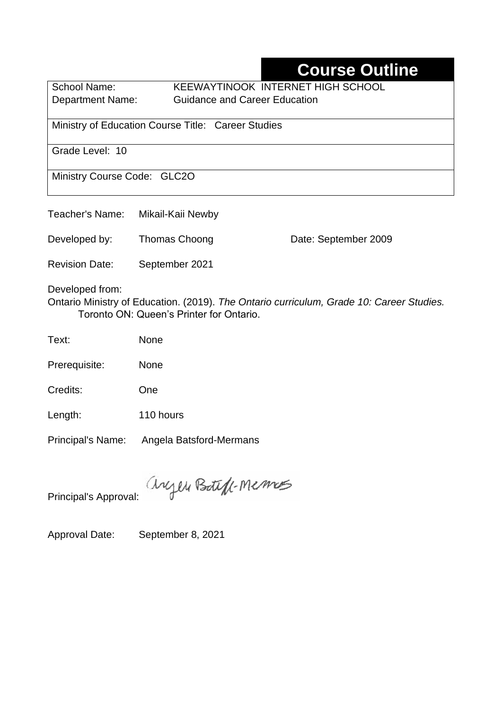# **Course Outline**

School Name: KEEWAYTINOOK INTERNET HIGH SCHOOL Department Name:Guidance and Career Education

Ministry of Education Course Title:Career Studies

Grade Level: 10

Ministry Course Code: GLC2O

| Teacher's Name:       | Mikail-Kaii Newby                                                                                                                            |                      |
|-----------------------|----------------------------------------------------------------------------------------------------------------------------------------------|----------------------|
| Developed by:         | Thomas Choong                                                                                                                                | Date: September 2009 |
| <b>Revision Date:</b> | September 2021                                                                                                                               |                      |
| Developed from:       | $\bigcap_{i=1}^{n}$ Multiple of Education $(0.040)$ The $\bigcap_{i=1}^{n}$ of the sum of the $\bigcap_{i=1}^{n}$ $A \cap \bigcap_{i=1}^{n}$ |                      |

Ontario Ministry of Education. (2019). *The Ontario curriculum, Grade 10: Career Studies.*  Toronto ON: Queen's Printer for Ontario.

Text: None

Prerequisite: None

Credits: One

Length: 110 hours

Principal's Name: Angela Batsford-Mermans

anyen Boteff-Memos

Principal's Approval:

Approval Date: September 8, 2021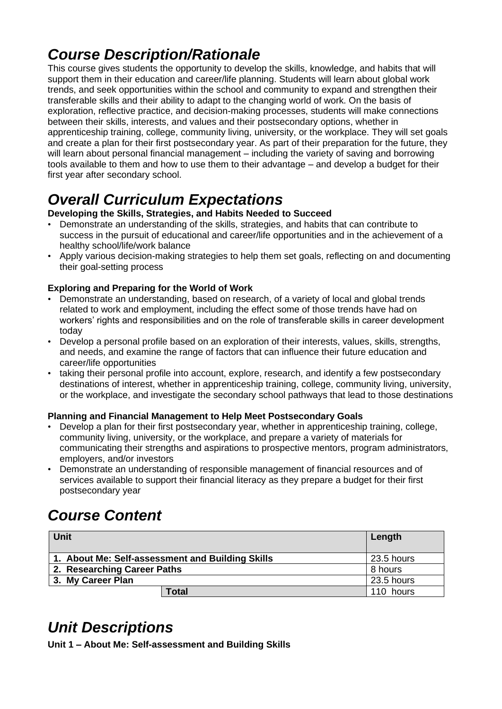# *Course Description/Rationale*

This course gives students the opportunity to develop the skills, knowledge, and habits that will support them in their education and career/life planning. Students will learn about global work trends, and seek opportunities within the school and community to expand and strengthen their transferable skills and their ability to adapt to the changing world of work. On the basis of exploration, reflective practice, and decision-making processes, students will make connections between their skills, interests, and values and their postsecondary options, whether in apprenticeship training, college, community living, university, or the workplace. They will set goals and create a plan for their first postsecondary year. As part of their preparation for the future, they will learn about personal financial management – including the variety of saving and borrowing tools available to them and how to use them to their advantage – and develop a budget for their first year after secondary school.

# *Overall Curriculum Expectations*

#### **Developing the Skills, Strategies, and Habits Needed to Succeed**

- Demonstrate an understanding of the skills, strategies, and habits that can contribute to success in the pursuit of educational and career/life opportunities and in the achievement of a healthy school/life/work balance
- Apply various decision-making strategies to help them set goals, reflecting on and documenting their goal-setting process

### **Exploring and Preparing for the World of Work**

- Demonstrate an understanding, based on research, of a variety of local and global trends related to work and employment, including the effect some of those trends have had on workers' rights and responsibilities and on the role of transferable skills in career development today
- Develop a personal profile based on an exploration of their interests, values, skills, strengths, and needs, and examine the range of factors that can influence their future education and career/life opportunities
- taking their personal profile into account, explore, research, and identify a few postsecondary destinations of interest, whether in apprenticeship training, college, community living, university, or the workplace, and investigate the secondary school pathways that lead to those destinations

### **Planning and Financial Management to Help Meet Postsecondary Goals**

- Develop a plan for their first postsecondary year, whether in apprenticeship training, college, community living, university, or the workplace, and prepare a variety of materials for communicating their strengths and aspirations to prospective mentors, program administrators, employers, and/or investors
- Demonstrate an understanding of responsible management of financial resources and of services available to support their financial literacy as they prepare a budget for their first postsecondary year

# *Course Content*

| <b>Unit</b>                                      | Length     |
|--------------------------------------------------|------------|
| 1. About Me: Self-assessment and Building Skills | 23.5 hours |
| 2. Researching Career Paths                      | 8 hours    |
| 3. My Career Plan                                | 23.5 hours |
| <b>Total</b>                                     | 110 hours  |

## *Unit Descriptions*

**Unit 1 – About Me: Self-assessment and Building Skills**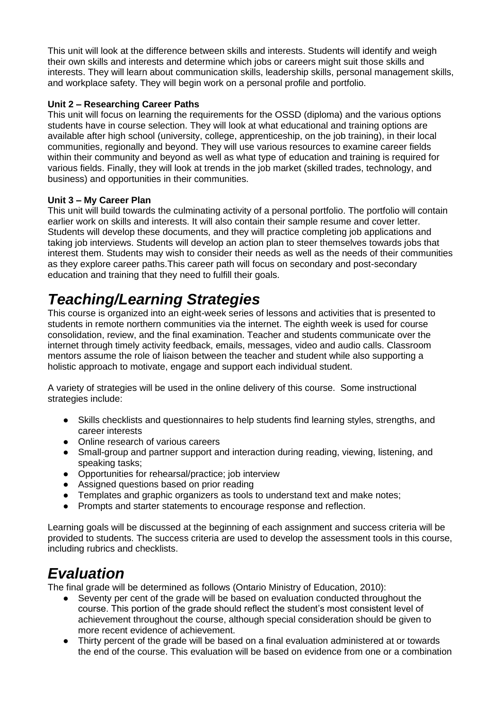This unit will look at the difference between skills and interests. Students will identify and weigh their own skills and interests and determine which jobs or careers might suit those skills and interests. They will learn about communication skills, leadership skills, personal management skills, and workplace safety. They will begin work on a personal profile and portfolio.

#### **Unit 2 – Researching Career Paths**

This unit will focus on learning the requirements for the OSSD (diploma) and the various options students have in course selection. They will look at what educational and training options are available after high school (university, college, apprenticeship, on the job training), in their local communities, regionally and beyond. They will use various resources to examine career fields within their community and beyond as well as what type of education and training is required for various fields. Finally, they will look at trends in the job market (skilled trades, technology, and business) and opportunities in their communities.

#### **Unit 3 – My Career Plan**

This unit will build towards the culminating activity of a personal portfolio. The portfolio will contain earlier work on skills and interests. It will also contain their sample resume and cover letter. Students will develop these documents, and they will practice completing job applications and taking job interviews. Students will develop an action plan to steer themselves towards jobs that interest them. Students may wish to consider their needs as well as the needs of their communities as they explore career paths.This career path will focus on secondary and post-secondary education and training that they need to fulfill their goals.

## *Teaching/Learning Strategies*

This course is organized into an eight-week series of lessons and activities that is presented to students in remote northern communities via the internet. The eighth week is used for course consolidation, review, and the final examination. Teacher and students communicate over the internet through timely activity feedback, emails, messages, video and audio calls. Classroom mentors assume the role of liaison between the teacher and student while also supporting a holistic approach to motivate, engage and support each individual student.

A variety of strategies will be used in the online delivery of this course. Some instructional strategies include:

- Skills checklists and questionnaires to help students find learning styles, strengths, and career interests
- Online research of various careers<br>• Small-group and partner support are
- Small-group and partner support and interaction during reading, viewing, listening, and speaking tasks;
- Opportunities for rehearsal/practice; job interview
- Assigned questions based on prior reading
- Templates and graphic organizers as tools to understand text and make notes;
- Prompts and starter statements to encourage response and reflection.

Learning goals will be discussed at the beginning of each assignment and success criteria will be provided to students. The success criteria are used to develop the assessment tools in this course, including rubrics and checklists.

### *Evaluation*

The final grade will be determined as follows (Ontario Ministry of Education, 2010):

- Seventy per cent of the grade will be based on evaluation conducted throughout the course. This portion of the grade should reflect the student's most consistent level of achievement throughout the course, although special consideration should be given to more recent evidence of achievement.
- Thirty percent of the grade will be based on a final evaluation administered at or towards the end of the course. This evaluation will be based on evidence from one or a combination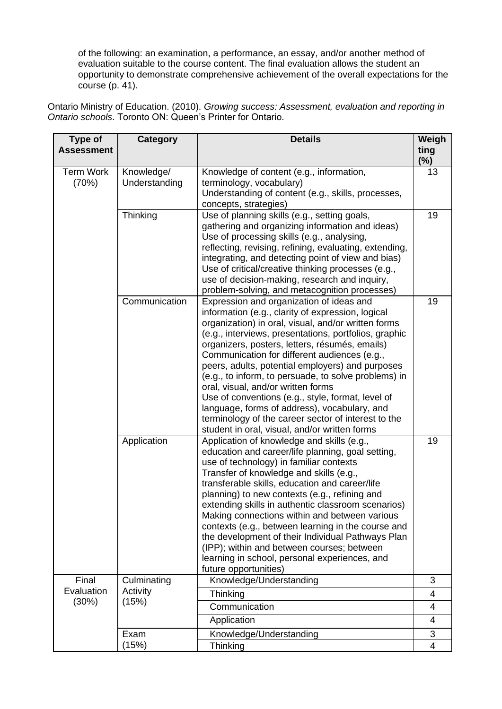of the following: an examination, a performance, an essay, and/or another method of evaluation suitable to the course content. The final evaluation allows the student an opportunity to demonstrate comprehensive achievement of the overall expectations for the course (p. 41).

Ontario Ministry of Education. (2010). *Growing success: Assessment, evaluation and reporting in Ontario schools*. Toronto ON: Queen's Printer for Ontario.

| Type of<br><b>Assessment</b> | Category                    | <b>Details</b>                                                                                                                                                                                                                                                                                                                                                                                                                                                                                                                                                                                                                                                                 | Weigh<br>ting  |
|------------------------------|-----------------------------|--------------------------------------------------------------------------------------------------------------------------------------------------------------------------------------------------------------------------------------------------------------------------------------------------------------------------------------------------------------------------------------------------------------------------------------------------------------------------------------------------------------------------------------------------------------------------------------------------------------------------------------------------------------------------------|----------------|
|                              |                             |                                                                                                                                                                                                                                                                                                                                                                                                                                                                                                                                                                                                                                                                                | $(\%)$         |
| <b>Term Work</b><br>(70%)    | Knowledge/<br>Understanding | Knowledge of content (e.g., information,<br>terminology, vocabulary)<br>Understanding of content (e.g., skills, processes,<br>concepts, strategies)                                                                                                                                                                                                                                                                                                                                                                                                                                                                                                                            | 13             |
|                              | Thinking                    | Use of planning skills (e.g., setting goals,<br>gathering and organizing information and ideas)<br>Use of processing skills (e.g., analysing,<br>reflecting, revising, refining, evaluating, extending,<br>integrating, and detecting point of view and bias)<br>Use of critical/creative thinking processes (e.g.,<br>use of decision-making, research and inquiry,<br>problem-solving, and metacognition processes)                                                                                                                                                                                                                                                          | 19             |
|                              | Communication               | Expression and organization of ideas and<br>information (e.g., clarity of expression, logical<br>organization) in oral, visual, and/or written forms<br>(e.g., interviews, presentations, portfolios, graphic<br>organizers, posters, letters, résumés, emails)<br>Communication for different audiences (e.g.,<br>peers, adults, potential employers) and purposes<br>(e.g., to inform, to persuade, to solve problems) in<br>oral, visual, and/or written forms<br>Use of conventions (e.g., style, format, level of<br>language, forms of address), vocabulary, and<br>terminology of the career sector of interest to the<br>student in oral, visual, and/or written forms | 19             |
|                              | Application                 | Application of knowledge and skills (e.g.,<br>education and career/life planning, goal setting,<br>use of technology) in familiar contexts<br>Transfer of knowledge and skills (e.g.,<br>transferable skills, education and career/life<br>planning) to new contexts (e.g., refining and<br>extending skills in authentic classroom scenarios)<br>Making connections within and between various<br>contexts (e.g., between learning in the course and<br>the development of their Individual Pathways Plan<br>(IPP); within and between courses; between<br>learning in school, personal experiences, and<br>future opportunities)                                             | 19             |
| Final                        | Culminating<br>Activity     | Knowledge/Understanding                                                                                                                                                                                                                                                                                                                                                                                                                                                                                                                                                                                                                                                        | 3              |
| Evaluation                   |                             | Thinking                                                                                                                                                                                                                                                                                                                                                                                                                                                                                                                                                                                                                                                                       | 4              |
| (30%)                        | (15%)                       | Communication                                                                                                                                                                                                                                                                                                                                                                                                                                                                                                                                                                                                                                                                  | 4              |
|                              |                             | Application                                                                                                                                                                                                                                                                                                                                                                                                                                                                                                                                                                                                                                                                    | $\overline{4}$ |
|                              | Exam                        | Knowledge/Understanding                                                                                                                                                                                                                                                                                                                                                                                                                                                                                                                                                                                                                                                        | 3              |
|                              | (15%)                       | Thinking                                                                                                                                                                                                                                                                                                                                                                                                                                                                                                                                                                                                                                                                       | 4              |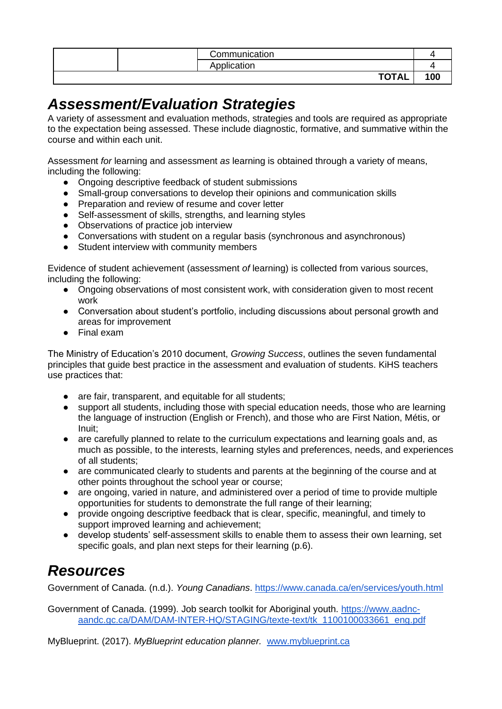|  | Communication             |  |
|--|---------------------------|--|
|  | .<br>חסוαיוסי             |  |
|  | <b>TOTA!</b><br>I AL<br>ັ |  |

### *Assessment/Evaluation Strategies*

A variety of assessment and evaluation methods, strategies and tools are required as appropriate to the expectation being assessed. These include diagnostic, formative, and summative within the course and within each unit.

Assessment *for* learning and assessment *as* learning is obtained through a variety of means, including the following:

- Ongoing descriptive feedback of student submissions
- Small-group conversations to develop their opinions and communication skills
- Preparation and review of resume and cover letter
- Self-assessment of skills, strengths, and learning styles
- Observations of practice job interview
- Conversations with student on a regular basis (synchronous and asynchronous)
- Student interview with community members

Evidence of student achievement (assessment *of* learning) is collected from various sources, including the following:

- Ongoing observations of most consistent work, with consideration given to most recent work
- Conversation about student's portfolio, including discussions about personal growth and areas for improvement
- Final exam

The Ministry of Education's 2010 document, *Growing Success*, outlines the seven fundamental principles that guide best practice in the assessment and evaluation of students. KiHS teachers use practices that:

- are fair, transparent, and equitable for all students;
- support all students, including those with special education needs, those who are learning the language of instruction (English or French), and those who are First Nation, Métis, or Inuit;
- are carefully planned to relate to the curriculum expectations and learning goals and, as much as possible, to the interests, learning styles and preferences, needs, and experiences of all students;
- are communicated clearly to students and parents at the beginning of the course and at other points throughout the school year or course;
- are ongoing, varied in nature, and administered over a period of time to provide multiple opportunities for students to demonstrate the full range of their learning;
- provide ongoing descriptive feedback that is clear, specific, meaningful, and timely to support improved learning and achievement;
- develop students' self-assessment skills to enable them to assess their own learning, set specific goals, and plan next steps for their learning (p.6).

## *Resources*

Government of Canada. (n.d.). *Young Canadians*.<https://www.canada.ca/en/services/youth.html>

Government of Canada. (1999). Job search toolkit for Aboriginal youth. [https://www.aadnc](https://www.aadnc-aandc.gc.ca/DAM/DAM-INTER-HQ/STAGING/texte-text/tk_1100100033661_eng.pdf)[aandc.gc.ca/DAM/DAM-INTER-HQ/STAGING/texte-text/tk\\_1100100033661\\_eng.pdf](https://www.aadnc-aandc.gc.ca/DAM/DAM-INTER-HQ/STAGING/texte-text/tk_1100100033661_eng.pdf)

MyBlueprint. (2017). *MyBlueprint education planner.* [www.myblueprint.ca](http://www.myblueprint.ca/)